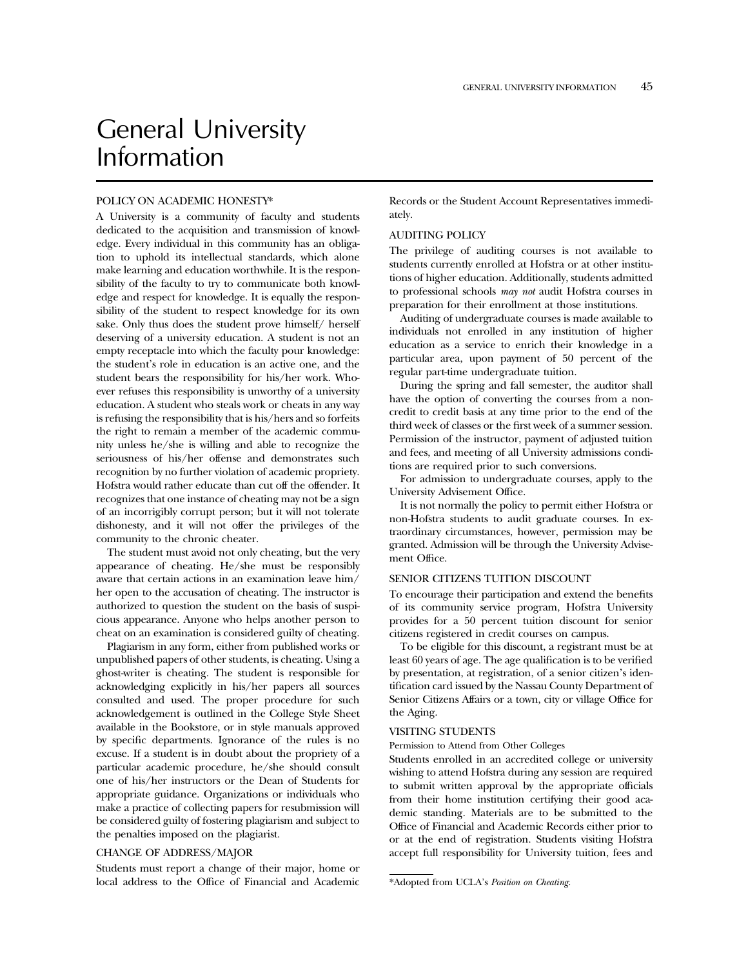# General University Information

#### POLICY ON ACADEMIC HONESTY\*

A University is a community of faculty and students dedicated to the acquisition and transmission of knowledge. Every individual in this community has an obligation to uphold its intellectual standards, which alone make learning and education worthwhile. It is the responsibility of the faculty to try to communicate both knowledge and respect for knowledge. It is equally the responsibility of the student to respect knowledge for its own sake. Only thus does the student prove himself/ herself deserving of a university education. A student is not an empty receptacle into which the faculty pour knowledge: the student's role in education is an active one, and the student bears the responsibility for his/her work. Whoever refuses this responsibility is unworthy of a university education. A student who steals work or cheats in any way is refusing the responsibility that is his/hers and so forfeits the right to remain a member of the academic community unless he/she is willing and able to recognize the seriousness of his/her offense and demonstrates such recognition by no further violation of academic propriety. Hofstra would rather educate than cut off the offender. It recognizes that one instance of cheating may not be a sign of an incorrigibly corrupt person; but it will not tolerate dishonesty, and it will not offer the privileges of the community to the chronic cheater.

The student must avoid not only cheating, but the very appearance of cheating. He/she must be responsibly aware that certain actions in an examination leave him/ her open to the accusation of cheating. The instructor is authorized to question the student on the basis of suspicious appearance. Anyone who helps another person to cheat on an examination is considered guilty of cheating.

Plagiarism in any form, either from published works or unpublished papers of other students, is cheating. Using a ghost-writer is cheating. The student is responsible for acknowledging explicitly in his/her papers all sources consulted and used. The proper procedure for such acknowledgement is outlined in the College Style Sheet available in the Bookstore, or in style manuals approved by specific departments. Ignorance of the rules is no excuse. If a student is in doubt about the propriety of a particular academic procedure, he/she should consult one of his/her instructors or the Dean of Students for appropriate guidance. Organizations or individuals who make a practice of collecting papers for resubmission will be considered guilty of fostering plagiarism and subject to the penalties imposed on the plagiarist.

#### CHANGE OF ADDRESS/MAJOR

Students must report a change of their major, home or local address to the Office of Financial and Academic Records or the Student Account Representatives immediately.

# AUDITING POLICY

The privilege of auditing courses is not available to students currently enrolled at Hofstra or at other institutions of higher education. Additionally, students admitted to professional schools *may not* audit Hofstra courses in preparation for their enrollment at those institutions.

Auditing of undergraduate courses is made available to individuals not enrolled in any institution of higher education as a service to enrich their knowledge in a particular area, upon payment of 50 percent of the regular part-time undergraduate tuition.

During the spring and fall semester, the auditor shall have the option of converting the courses from a noncredit to credit basis at any time prior to the end of the third week of classes or the first week of a summer session. Permission of the instructor, payment of adjusted tuition and fees, and meeting of all University admissions conditions are required prior to such conversions.

For admission to undergraduate courses, apply to the University Advisement Office.

It is not normally the policy to permit either Hofstra or non-Hofstra students to audit graduate courses. In extraordinary circumstances, however, permission may be granted. Admission will be through the University Advisement Office.

# SENIOR CITIZENS TUITION DISCOUNT

To encourage their participation and extend the benefits of its community service program, Hofstra University provides for a 50 percent tuition discount for senior citizens registered in credit courses on campus.

To be eligible for this discount, a registrant must be at least 60 years of age. The age qualification is to be verified by presentation, at registration, of a senior citizen's identification card issued by the Nassau County Department of Senior Citizens Affairs or a town, city or village Office for the Aging.

# VISITING STUDENTS

Permission to Attend from Other Colleges

Students enrolled in an accredited college or university wishing to attend Hofstra during any session are required to submit written approval by the appropriate officials from their home institution certifying their good academic standing. Materials are to be submitted to the Office of Financial and Academic Records either prior to or at the end of registration. Students visiting Hofstra accept full responsibility for University tuition, fees and

<sup>\*</sup>Adopted from UCLA's *Position on Cheating.*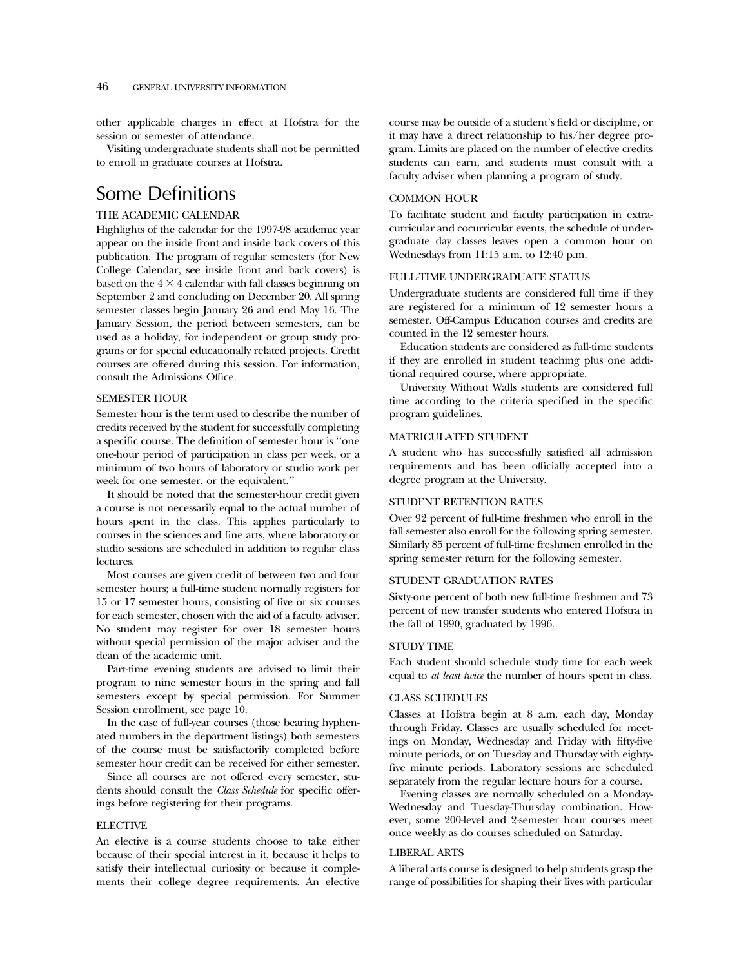other applicable charges in effect at Hofstra for the session or semester of attendance.

Visiting undergraduate students shall not be permitted to enroll in graduate courses at Hofstra.

# Some Definitions

# THE ACADEMIC CALENDAR

Highlights of the calendar for the 1997-98 academic year appear on the inside front and inside back covers of this publication. The program of regular semesters (for New College Calendar, see inside front and back covers) is based on the  $4 \times 4$  calendar with fall classes beginning on September 2 and concluding on December 20. All spring semester classes begin January 26 and end May 16. The January Session, the period between semesters, can be used as a holiday, for independent or group study programs or for special educationally related projects. Credit courses are offered during this session. For information, consult the Admissions Office.

# SEMESTER HOUR

Semester hour is the term used to describe the number of credits received by the student for successfully completing a specific course. The definition of semester hour is ''one one-hour period of participation in class per week, or a minimum of two hours of laboratory or studio work per week for one semester, or the equivalent.''

It should be noted that the semester-hour credit given a course is not necessarily equal to the actual number of hours spent in the class. This applies particularly to courses in the sciences and fine arts, where laboratory or studio sessions are scheduled in addition to regular class lectures.

Most courses are given credit of between two and four semester hours; a full-time student normally registers for 15 or 17 semester hours, consisting of five or six courses for each semester, chosen with the aid of a faculty adviser. No student may register for over 18 semester hours without special permission of the major adviser and the dean of the academic unit.

Part-time evening students are advised to limit their program to nine semester hours in the spring and fall semesters except by special permission. For Summer Session enrollment, see page 10.

In the case of full-year courses (those bearing hyphenated numbers in the department listings) both semesters of the course must be satisfactorily completed before semester hour credit can be received for either semester.

Since all courses are not offered every semester, students should consult the *Class Schedule* for specific offerings before registering for their programs.

# ELECTIVE

An elective is a course students choose to take either because of their special interest in it, because it helps to satisfy their intellectual curiosity or because it complements their college degree requirements. An elective course may be outside of a student's field or discipline, or it may have a direct relationship to his/her degree program. Limits are placed on the number of elective credits students can earn, and students must consult with a faculty adviser when planning a program of study.

## COMMON HOUR

To facilitate student and faculty participation in extracurricular and cocurricular events, the schedule of undergraduate day classes leaves open a common hour on Wednesdays from 11:15 a.m. to 12:40 p.m.

#### FULL-TIME UNDERGRADUATE STATUS

Undergraduate students are considered full time if they are registered for a minimum of 12 semester hours a semester. Off-Campus Education courses and credits are counted in the 12 semester hours.

Education students are considered as full-time students if they are enrolled in student teaching plus one additional required course, where appropriate.

University Without Walls students are considered full time according to the criteria specified in the specific program guidelines.

# MATRICULATED STUDENT

A student who has successfully satisfied all admission requirements and has been officially accepted into a degree program at the University.

#### STUDENT RETENTION RATES

Over 92 percent of full-time freshmen who enroll in the fall semester also enroll for the following spring semester. Similarly 85 percent of full-time freshmen enrolled in the spring semester return for the following semester.

#### STUDENT GRADUATION RATES

Sixty-one percent of both new full-time freshmen and 73 percent of new transfer students who entered Hofstra in the fall of 1990, graduated by 1996.

#### STUDY TIME

Each student should schedule study time for each week equal to *at least twice* the number of hours spent in class.

# CLASS SCHEDULES

Classes at Hofstra begin at 8 a.m. each day, Monday through Friday. Classes are usually scheduled for meetings on Monday, Wednesday and Friday with fifty-five minute periods, or on Tuesday and Thursday with eightyfive minute periods. Laboratory sessions are scheduled separately from the regular lecture hours for a course.

Evening classes are normally scheduled on a Monday-Wednesday and Tuesday-Thursday combination. However, some 200-level and 2-semester hour courses meet once weekly as do courses scheduled on Saturday.

#### LIBERAL ARTS

A liberal arts course is designed to help students grasp the range of possibilities for shaping their lives with particular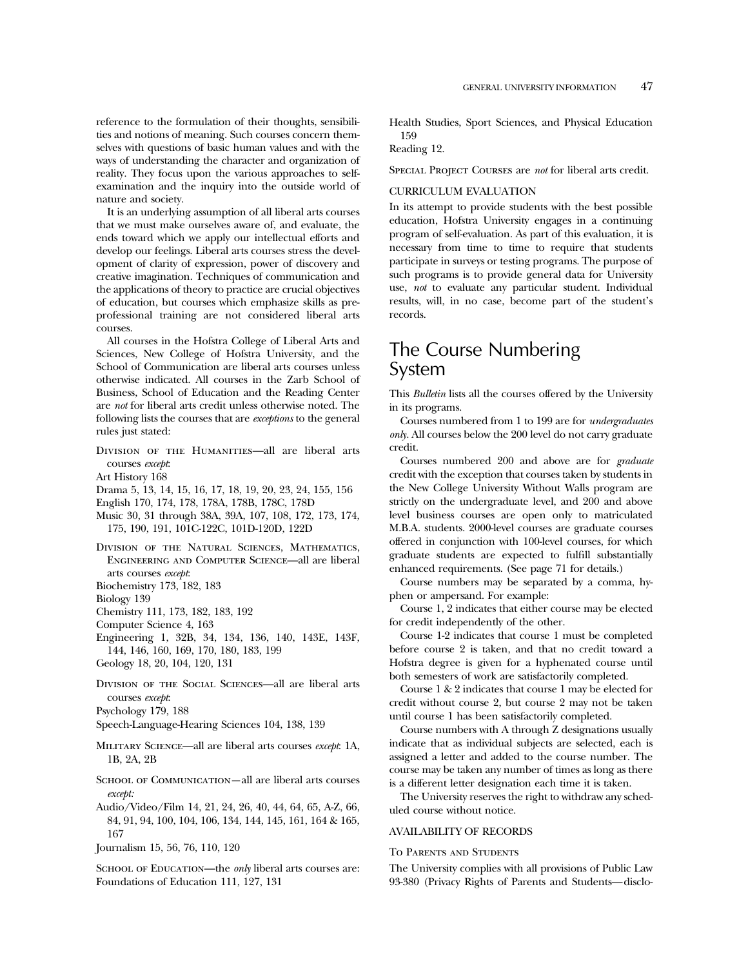reference to the formulation of their thoughts, sensibilities and notions of meaning. Such courses concern themselves with questions of basic human values and with the ways of understanding the character and organization of reality. They focus upon the various approaches to selfexamination and the inquiry into the outside world of nature and society.

It is an underlying assumption of all liberal arts courses that we must make ourselves aware of, and evaluate, the ends toward which we apply our intellectual efforts and develop our feelings. Liberal arts courses stress the development of clarity of expression, power of discovery and creative imagination. Techniques of communication and the applications of theory to practice are crucial objectives of education, but courses which emphasize skills as preprofessional training are not considered liberal arts courses.

All courses in the Hofstra College of Liberal Arts and Sciences, New College of Hofstra University, and the School of Communication are liberal arts courses unless otherwise indicated. All courses in the Zarb School of Business, School of Education and the Reading Center are *not* for liberal arts credit unless otherwise noted. The following lists the courses that are *exceptions* to the general rules just stated:

- DIVISION OF THE HUMANITIES-all are liberal arts courses *except*:
- Art History 168
- Drama 5, 13, 14, 15, 16, 17, 18, 19, 20, 23, 24, 155, 156
- English 170, 174, 178, 178A, 178B, 178C, 178D
- Music 30, 31 through 38A, 39A, 107, 108, 172, 173, 174, 175, 190, 191, 101C-122C, 101D-120D, 122D
- Division of the Natural Sciences, Mathematics, Engineering and Computer Science—all are liberal arts courses *except*:
- Biochemistry 173, 182, 183
- Biology 139
- Chemistry 111, 173, 182, 183, 192
- Computer Science 4, 163
- Engineering 1, 32B, 34, 134, 136, 140, 143E, 143F, 144, 146, 160, 169, 170, 180, 183, 199
- Geology 18, 20, 104, 120, 131
- Division of the Social Sciences—all are liberal arts courses *except*:
- Psychology 179, 188
- Speech-Language-Hearing Sciences 104, 138, 139
- Military Science—all are liberal arts courses *except*: 1A, 1B, 2A, 2B
- SCHOOL OF COMMUNICATION—all are liberal arts courses *except:*
- Audio/Video/Film 14, 21, 24, 26, 40, 44, 64, 65, A-Z, 66, 84, 91, 94, 100, 104, 106, 134, 144, 145, 161, 164 & 165, 167
- Journalism 15, 56, 76, 110, 120

SCHOOL OF EDUCATION—the *only* liberal arts courses are: Foundations of Education 111, 127, 131

Health Studies, Sport Sciences, and Physical Education 159

# Reading 12.

Special Project Courses are *not* for liberal arts credit.

### CURRICULUM EVALUATION

In its attempt to provide students with the best possible education, Hofstra University engages in a continuing program of self-evaluation. As part of this evaluation, it is necessary from time to time to require that students participate in surveys or testing programs. The purpose of such programs is to provide general data for University use, *not* to evaluate any particular student. Individual results, will, in no case, become part of the student's records.

# The Course Numbering System

This *Bulletin* lists all the courses offered by the University in its programs.

Courses numbered from 1 to 199 are for *undergraduates only.* All courses below the 200 level do not carry graduate credit.

Courses numbered 200 and above are for *graduate* credit with the exception that courses taken by students in the New College University Without Walls program are strictly on the undergraduate level, and 200 and above level business courses are open only to matriculated M.B.A. students. 2000-level courses are graduate courses offered in conjunction with 100-level courses, for which graduate students are expected to fulfill substantially enhanced requirements. (See page 71 for details.)

Course numbers may be separated by a comma, hyphen or ampersand. For example:

Course 1, 2 indicates that either course may be elected for credit independently of the other.

Course 1-2 indicates that course 1 must be completed before course 2 is taken, and that no credit toward a Hofstra degree is given for a hyphenated course until both semesters of work are satisfactorily completed.

Course1&2 indicates that course 1 may be elected for credit without course 2, but course 2 may not be taken until course 1 has been satisfactorily completed.

Course numbers with A through Z designations usually indicate that as individual subjects are selected, each is assigned a letter and added to the course number. The course may be taken any number of times as long as there is a different letter designation each time it is taken.

The University reserves the right to withdraw any scheduled course without notice.

# AVAILABILITY OF RECORDS

#### To Parents and Students

The University complies with all provisions of Public Law 93-380 (Privacy Rights of Parents and Students—disclo